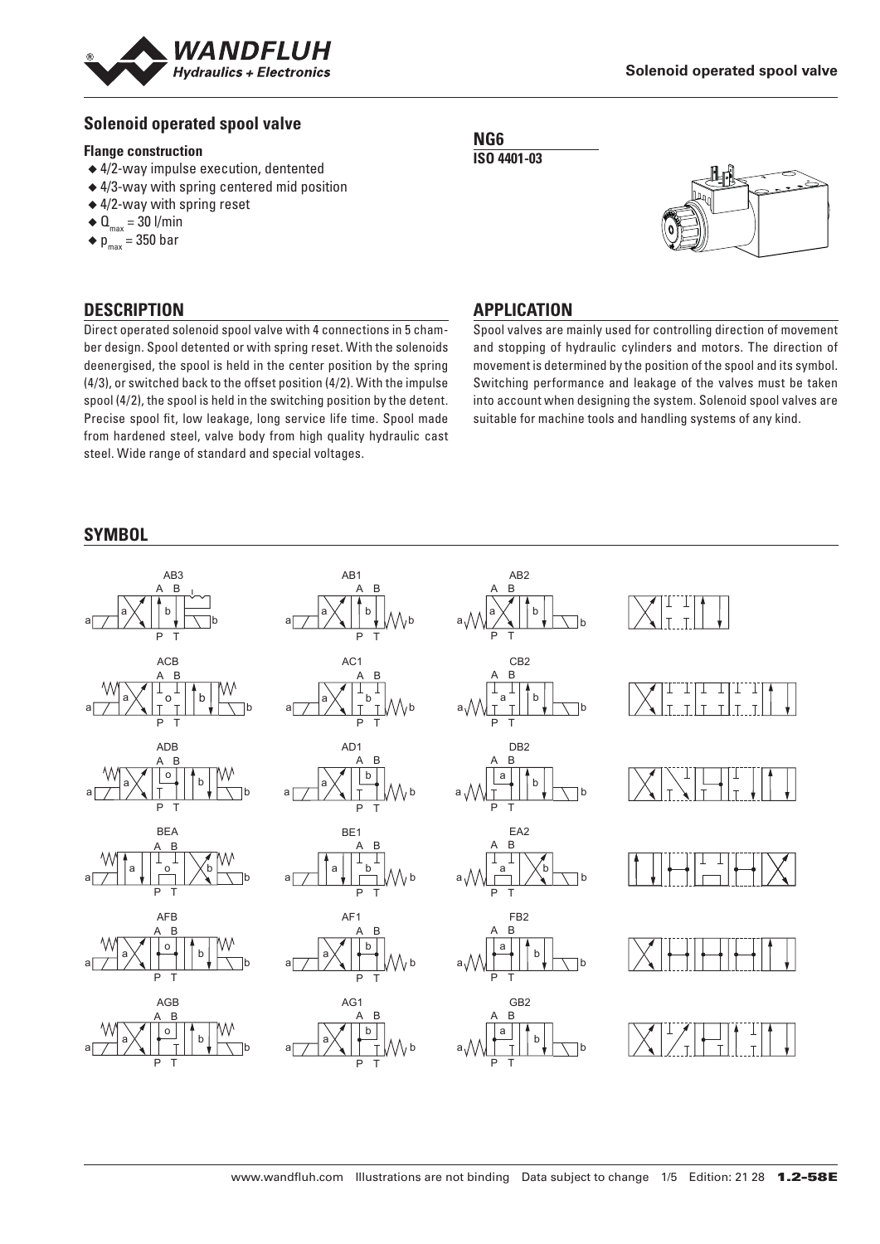

## **Solenoid operated spool valve**

#### **Flange construction**

- ◆ 4/2-way impulse execution, dentented
- ◆ 4/3-way with spring centered mid position
- ◆ 4/2-way with spring reset
- $\triangleleft$  Q<sub>max</sub> = 30 l/min
- $\bullet$  p<sub>max</sub> = 350 bar

## **DESCRIPTION**

Direct operated solenoid spool valve with 4 connections in 5 chamber design. Spool detented or with spring reset. With the solenoids deenergised, the spool is held in the center position by the spring (4/3), or switched back to the offset position (4/2). With the impulse spool (4/2), the spool is held in the switching position by the detent. Precise spool fit, low leakage, long service life time. Spool made from hardened steel, valve body from high quality hydraulic cast steel. Wide range of standard and special voltages.

#### **SYMBOL**

#### **NG6 ISO 4401-03**



## **APPLICATION**

Spool valves are mainly used for controlling direction of movement and stopping of hydraulic cylinders and motors. The direction of movement is determined by the position of the spool and its symbol. Switching performance and leakage of the valves must be taken into account when designing the system. Solenoid spool valves are suitable for machine tools and handling systems of any kind.

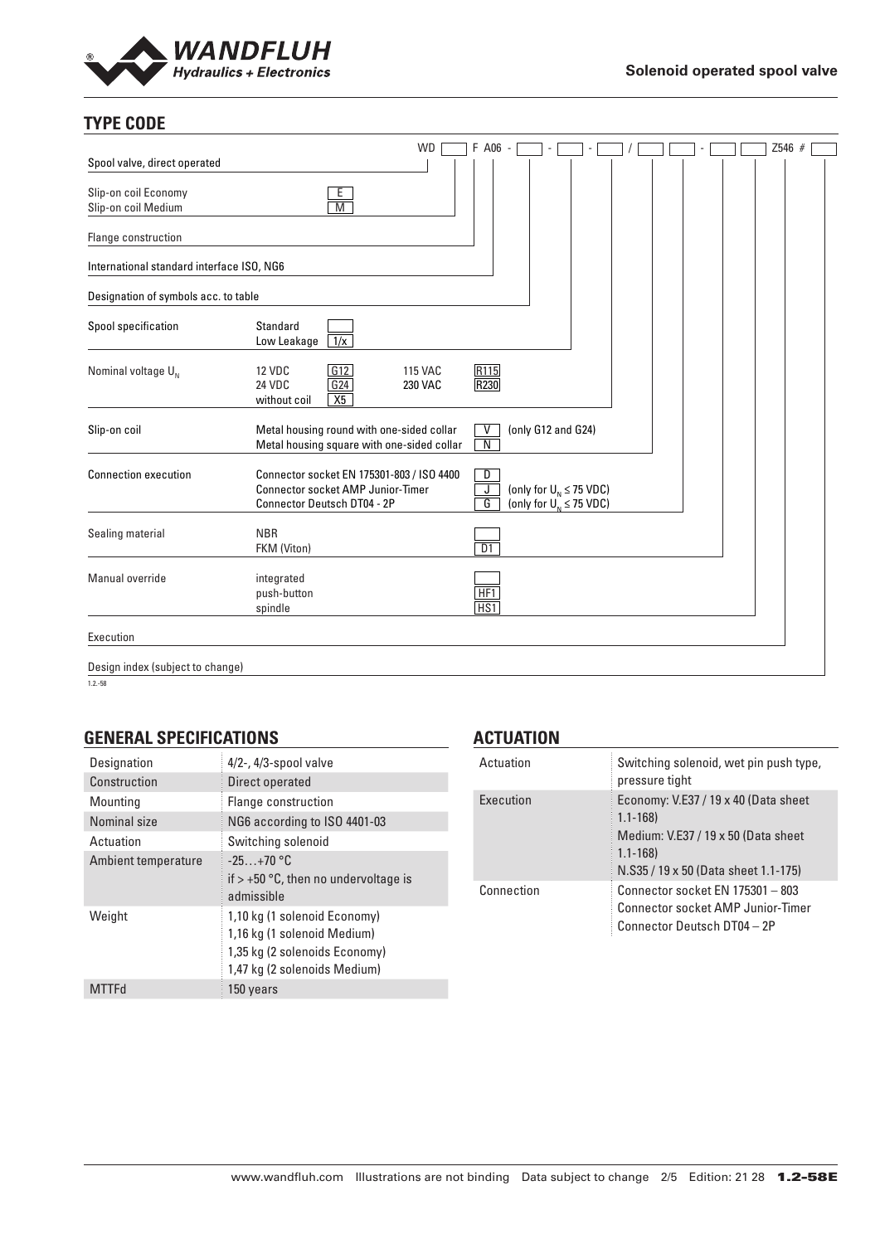

## **TYPE CODE**

|                                             | <b>WD</b>                                                                                                                   | F A06 -                            |                                                                  |  |  | Z546 # |  |
|---------------------------------------------|-----------------------------------------------------------------------------------------------------------------------------|------------------------------------|------------------------------------------------------------------|--|--|--------|--|
| Spool valve, direct operated                |                                                                                                                             |                                    |                                                                  |  |  |        |  |
| Slip-on coil Economy<br>Slip-on coil Medium | E.<br>$\overline{\mathsf{M}}$                                                                                               |                                    |                                                                  |  |  |        |  |
| Flange construction                         |                                                                                                                             |                                    |                                                                  |  |  |        |  |
| International standard interface ISO, NG6   |                                                                                                                             |                                    |                                                                  |  |  |        |  |
| Designation of symbols acc. to table        |                                                                                                                             |                                    |                                                                  |  |  |        |  |
| Spool specification                         | Standard<br>$\frac{1}{x}$<br>Low Leakage                                                                                    |                                    |                                                                  |  |  |        |  |
| Nominal voltage $U_{N}$                     | G12<br>12 VDC<br><b>115 VAC</b><br>G24<br><b>24 VDC</b><br>230 VAC<br>X5<br>without coil                                    | R115<br>R <sub>230</sub>           |                                                                  |  |  |        |  |
| Slip-on coil                                | Metal housing round with one-sided collar<br>Metal housing square with one-sided collar                                     | ٧<br>$\overline{N}$                | (only G12 and G24)                                               |  |  |        |  |
| <b>Connection execution</b>                 | Connector socket EN 175301-803 / ISO 4400<br><b>Connector socket AMP Junior-Timer</b><br><b>Connector Deutsch DT04 - 2P</b> | D<br>$\overline{\mathsf{J}}$<br>G  | (only for $U_{N} \leq 75$ VDC)<br>(only for $U_{N} \leq 75$ VDC) |  |  |        |  |
| Sealing material                            | <b>NBR</b><br>FKM (Viton)                                                                                                   | D1                                 |                                                                  |  |  |        |  |
| Manual override                             | integrated<br>push-button<br>spindle                                                                                        | HF <sub>1</sub><br>H <sub>S1</sub> |                                                                  |  |  |        |  |
| Execution                                   |                                                                                                                             |                                    |                                                                  |  |  |        |  |
| Design index (subject to change)            |                                                                                                                             |                                    |                                                                  |  |  |        |  |

1.2.-58

## **GENERAL SPECIFICATIONS**

| Designation         | $4/2$ -, $4/3$ -spool valve                                                                                                  |
|---------------------|------------------------------------------------------------------------------------------------------------------------------|
| Construction        | Direct operated                                                                                                              |
| Mounting            | Flange construction                                                                                                          |
| Nominal size        | NG6 according to ISO 4401-03                                                                                                 |
| Actuation           | Switching solenoid                                                                                                           |
| Ambient temperature | $-25+70$ °C<br>if $> +50$ °C, then no undervoltage is<br>admissible                                                          |
| Weight              | 1,10 kg (1 solenoid Economy)<br>1,16 kg (1 solenoid Medium)<br>1,35 kg (2 solenoids Economy)<br>1,47 kg (2 solenoids Medium) |
|                     | 150 years                                                                                                                    |

## **ACTUATION**

| Actuation  | Switching solenoid, wet pin push type,<br>pressure tight                                                                                          |
|------------|---------------------------------------------------------------------------------------------------------------------------------------------------|
| Execution  | Economy: V.E37 / 19 x 40 (Data sheet<br>$1.1 - 168$<br>Medium: V.E37 / 19 x 50 (Data sheet<br>$1.1 - 168$<br>N.S35 / 19 x 50 (Data sheet 1.1-175) |
| Connection | Connector socket EN 175301 - 803<br>Connector socket AMP Junior-Timer<br>Connector Deutsch DT04 - 2P                                              |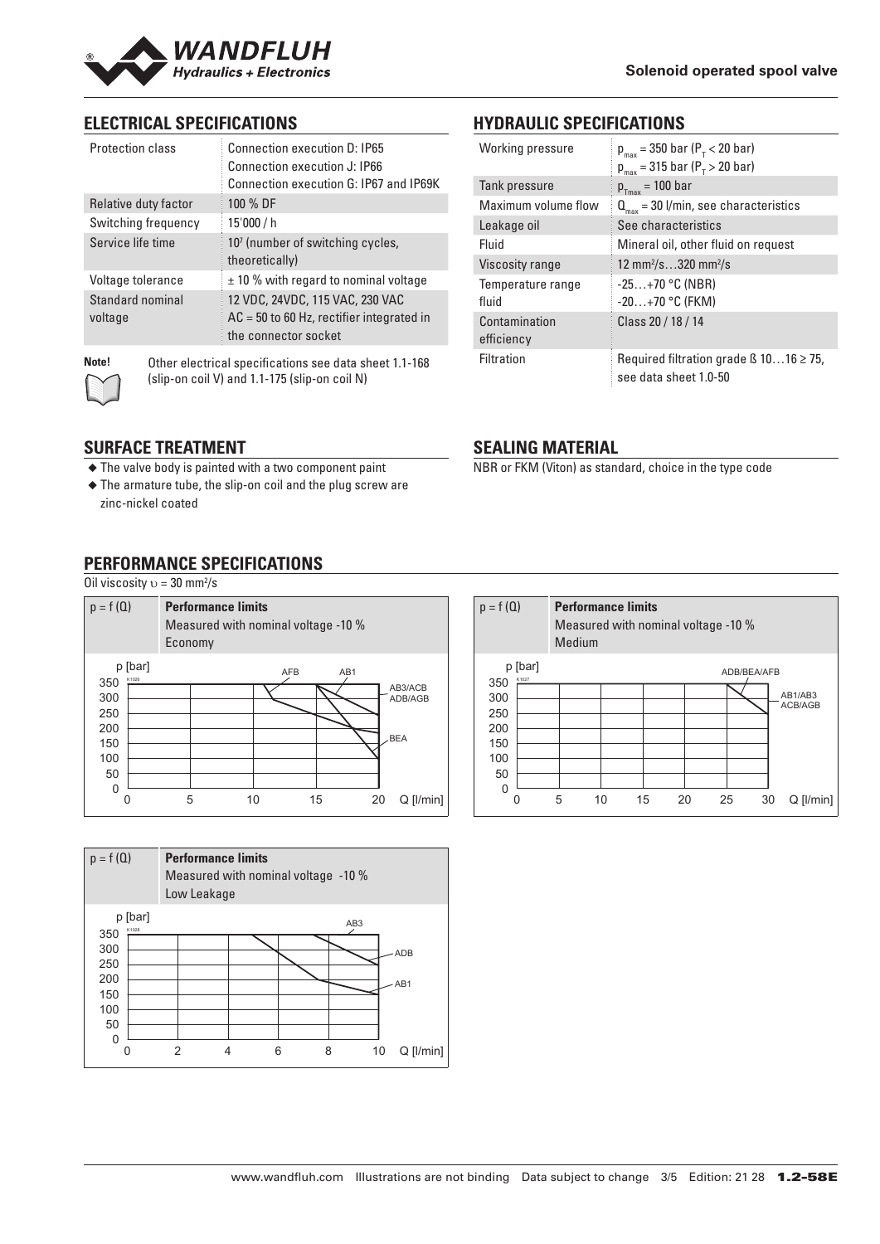

## **ELECTRICAL SPECIFICATIONS**

| Protection class            | Connection execution D: IP65<br>Connection execution J: IP66<br>Connection execution G: IP67 and IP69K |
|-----------------------------|--------------------------------------------------------------------------------------------------------|
| Relative duty factor        | 100 % DF                                                                                               |
| Switching frequency         | 15'000 / h                                                                                             |
| Service life time           | 10 <sup>7</sup> (number of switching cycles,<br>theoretically)                                         |
| Voltage tolerance           | $\pm$ 10 % with regard to nominal voltage                                                              |
| Standard nominal<br>voltage | 12 VDC, 24VDC, 115 VAC, 230 VAC<br>$AC = 50$ to 60 Hz, rectifier integrated in<br>the connector socket |

**Note!** Other electrical specifications see data sheet 1.1-168 (slip-on coil V) and 1.1-175 (slip-on coil N)

## **SURFACE TREATMENT**

- ◆ The valve body is painted with a two component paint
- ◆ The armature tube, the slip-on coil and the plug screw are zinc-nickel coated

# **PERFORMANCE SPECIFICATIONS**

Oil viscosity  $v = 30$  mm<sup>2</sup>/s





## **HYDRAULIC SPECIFICATIONS**

| Working pressure    | $p_{max}$ = 350 bar ( $P_{T}$ < 20 bar)           |
|---------------------|---------------------------------------------------|
|                     | $p_{max}$ = 315 bar ( $P_{T}$ > 20 bar)           |
| Tank pressure       | $p_{Tmax}$ = 100 bar                              |
| Maximum volume flow | $Q_{\text{max}}$ = 30 l/min, see characteristics  |
| Leakage oil         | See characteristics                               |
| Fluid               | Mineral oil, other fluid on request               |
| Viscosity range     | 12 mm <sup>2</sup> /s320 mm <sup>2</sup> /s       |
| Temperature range   | $-25+70$ °C (NBR)                                 |
| fluid               | $-20+70$ °C (FKM)                                 |
| Contamination       | Class 20 / 18 / 14                                |
| efficiency          |                                                   |
| <b>Filtration</b>   | Required filtration grade $\beta$ 1016 $\geq$ 75, |
|                     | see data sheet 1.0-50                             |

## **SEALING MATERIAL**

NBR or FKM (Viton) as standard, choice in the type code

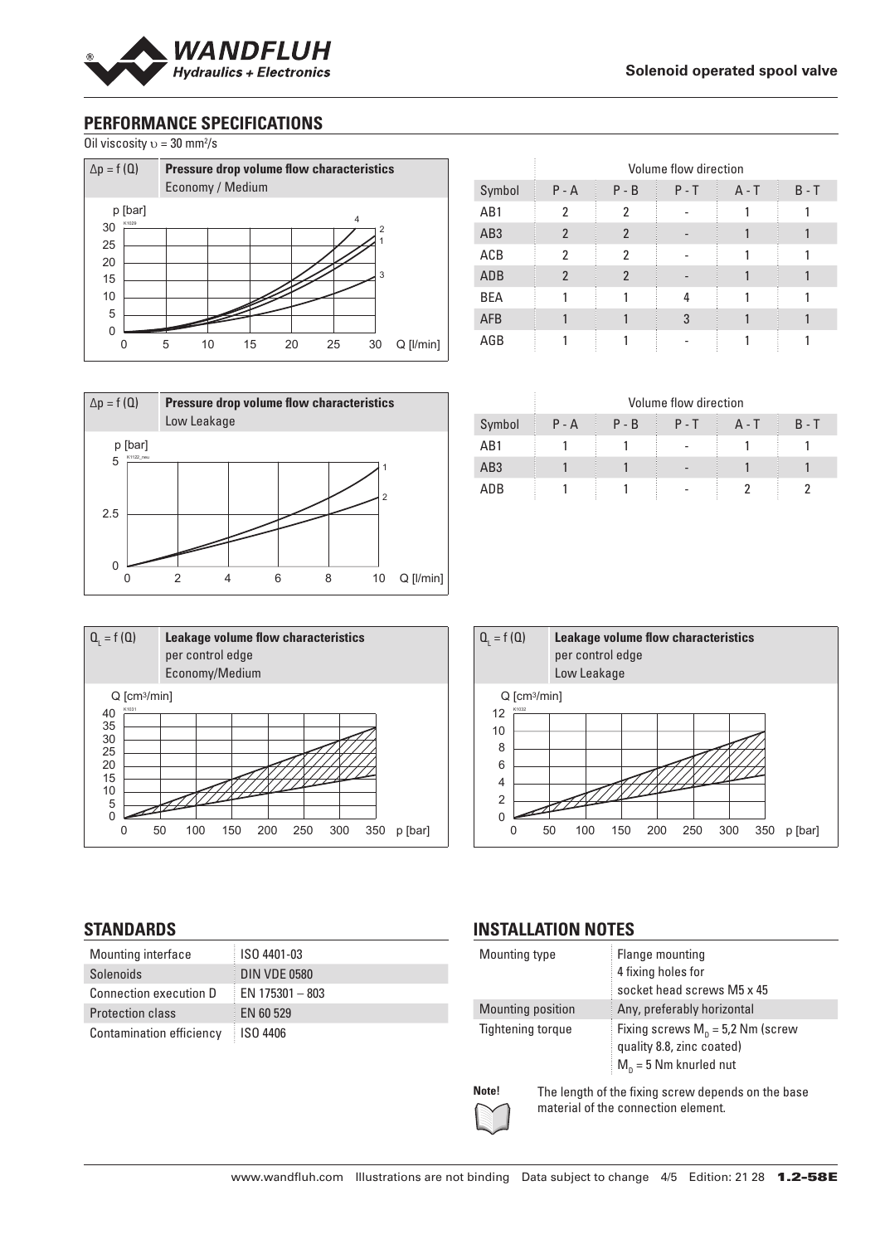

# **PERFORMANCE SPECIFICATIONS**

Oil viscosity  $v = 30$  mm<sup>2</sup>/s



| $\Delta p = f(Q)$         | Low Leakage |   | Pressure drop volume flow characteristics |                |                 |
|---------------------------|-------------|---|-------------------------------------------|----------------|-----------------|
| p [bar]<br>K1122_neu<br>5 |             |   |                                           | $\overline{2}$ |                 |
| 2.5                       |             |   |                                           |                |                 |
| 0                         |             | հ | 8                                         | 10             | $Q$ [ $l/min$ ] |

| $Q_{1} = f(Q)$                                                                                       |                  | Leakage volume flow characteristics<br>per control edge<br>Economy/Medium |                       |  |  |  |
|------------------------------------------------------------------------------------------------------|------------------|---------------------------------------------------------------------------|-----------------------|--|--|--|
| $Q$ [cm <sup>3</sup> /min]<br>K1031<br>40<br>35<br>30<br>25<br>20<br>15<br>10<br>5<br>$\overline{0}$ |                  |                                                                           |                       |  |  |  |
|                                                                                                      | 150<br>100<br>50 | 250<br>200                                                                | 300<br>350<br>p [bar] |  |  |  |

|                 | Volume flow direction |                |         |         |         |
|-----------------|-----------------------|----------------|---------|---------|---------|
| Symbol          | $P - A$               | $P - B$        | $P - T$ | $A - T$ | $B - T$ |
| AB1             | 2                     | 2              |         |         |         |
| AB <sub>3</sub> | $\mathfrak{p}$        | $\overline{2}$ |         |         |         |
| ACB             | 2                     | $\mathfrak{p}$ |         |         |         |
| ADB             | $\overline{2}$        | $\mathfrak{p}$ |         |         |         |
| <b>BEA</b>      |                       |                | 4       |         |         |
| <b>AFB</b>      |                       |                | 3       |         |         |
| AGB             |                       |                |         |         |         |

|                 | Volume flow direction |         |         |       |         |
|-----------------|-----------------------|---------|---------|-------|---------|
| Symbol          | $P - A$               | $P - B$ | $P - T$ | A - T | $B - T$ |
| AB1             |                       |         |         |       |         |
| AB <sub>3</sub> |                       |         |         |       |         |
| ADB             |                       |         |         |       |         |



## **STANDARDS**

| Mounting interface              | ISO 4401-03         |
|---------------------------------|---------------------|
| Solenoids                       | <b>DIN VDE 0580</b> |
| <b>Connection execution D</b>   | EN $175301 - 803$   |
| <b>Protection class</b>         | EN 60 529           |
| <b>Contamination efficiency</b> | ISO 4406            |
|                                 |                     |

## **INSTALLATION NOTES**

| Mounting type     |                                                                                           | Flange mounting<br>4 fixing holes for<br>socket head screws M5 x 45                          |  |
|-------------------|-------------------------------------------------------------------------------------------|----------------------------------------------------------------------------------------------|--|
| Mounting position |                                                                                           | Any, preferably horizontal                                                                   |  |
| Tightening torque |                                                                                           | Fixing screws $M_p = 5.2$ Nm (screw<br>quality 8.8, zinc coated)<br>$M_n = 5$ Nm knurled nut |  |
| Note!             | The length of the fixing screw depends on the base<br>material of the connection element. |                                                                                              |  |

 $\sum$